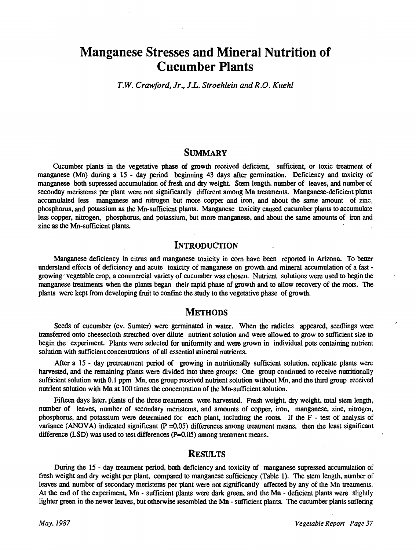# Manganese Stresses and Mineral Nutrition of Cucumber Plants

T.W. Crawford, Jr., J.L. Stroehlein and R.O. Kuehl

# **SUMMARY**

Cucumber plants in the vegetative phase of growth received deficient, sufficient, or toxic treatment of manganese (Mn) during a 15 - day period beginning 43 days after germination. Deficiency and toxicity of manganese both supressed accumulation of fresh and dry weight. Stem length, number of leaves, and number of seconday meristems per plant were not significantly different among Mn treatments. Manganese-deficient plants accumulated less manganese and nitrogen but more copper and iron, and about the same amount of zinc, phosphorus, and potassium as the Mn- sufficient plants. Manganese toxicity caused cucumber plants to accumulate less copper, nitrogen, phosphorus, and potassium, but more manganese, and about the same amounts of iron and zinc as the Mn-sufficient plants.

## INTRODUCTION

Manganese deficiency in citrus and manganese toxicity in corn have been reported in Arizona. To better understand effects of deficiency and acute toxicity of manganese on growth and mineral accumulation of a fast growing vegetable crop, a commercial variety of cucumber was chosen. Nutrient solutions were used to begin the manganese treatments when the plants began their rapid phase of growth and to allow recovery of the roots. The plants were kept from developing fruit to confine the study to the vegetative phase of growth.

# **METHODS**

Seeds of cucumber (cv. Sumter) were germinated in water. When the radicles appeared, seedlings were transferred onto cheesecloth stretched over dilute nutrient solution and were allowed to grow to sufficient size to begin the experiment. Plants were selected for uniformity and were grown in individual pots containing nutrient solution with sufficient concentrations of all essential mineral nutrients.

After a 15 - day pretreatment period of growing in nutritionally sufficient solution, replicate plants were harvested, and the remaining plants were divided into three groups: One group continued to receive nutritionally sufficient solution with 0.1 ppm Mn, one group received nutrient solution without Mn, and the third group received nutrient solution with Mn at 100 times the concentration of the Mn-sufficient solution.

Fifteen days later, plants of the three treatments were harvested. Fresh weight, dry weight, total stem length, number of leaves, number of secondary meristems, and amounts of copper, iron, manganese, zinc, nitrogen, phosphorus, and potassium were determined for each plant, including the roots. If the F - test of analysis of variance (ANOVA) indicated significant  $(P = 0.05)$  differences among treatment means, then the least significant difference  $(LSD)$  was used to test differences  $(P=0.05)$  among treatment means.

## **RESULTS**

During the 15 - day treatment period, both deficiency and toxicity of manganese supressed accumulation of fresh weight and dry weight per plant, compared to manganese sufficiency (Table 1). The stem length, number of leaves and number of secondary meristems per plant were not significantly affected by any of the Mn treatments. At the end of the experiment, Mn - sufficient plants were dark green, and the Mn - deficient plants were slightly lighter green in the newer leaves, but otherwise resembled the Mn - sufficient plants. The cucumber plants suffering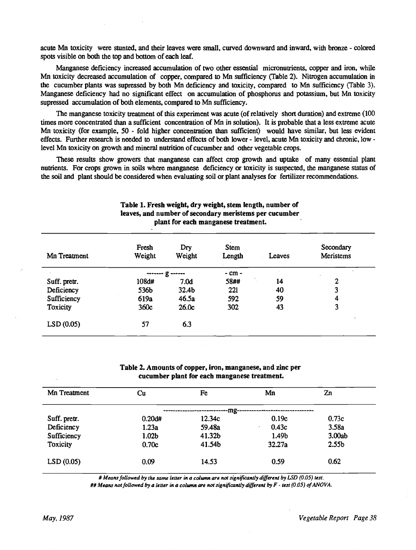acute Mn toxicity were stunted, and their leaves were small, curved downward and inward, with bronze - colored spots visible on both the top and bottom of each leaf.

Manganese deficiency increased accumulation of two other essential micronutrients, copper and iron, while Mn toxicity decreased accumulation of copper, compared to Mn sufficiency (Table 2). Nitrogen accumulation in the cucumber plants was supressed by both Mn deficiency and toxicity, compared to Mn sufficiency (Table 3). Manganese deficiency had no significant effect on accumulation of phosphorus and potassium, but Mn toxicity supressed accumulation of both elements, compared to Mn sufficiency.

The manganese toxicity treatment of this experiment was acute (of relatively short duration) and extreme (100 times more concentrated than a sufficient concentration of Mn in solution). It is probable that a less extreme acute Mn toxicity (for example, 50 - fold higher concentration than sufficient) would have similar, but less evident effects. Further research is needed to understand effects of both lower - level, acute Mn toxicity and chronic, low level Mn toxicity on growth and mineral nutrition of cucumber and other vegetable crops.

These results show growers that manganese can affect crop growth and uptake of many essential plant nutrients. For crops grown in soils where manganese deficiency or toxicity is suspected, the manganese status of the soil and plant should be considered when evaluating soil or plant analyses for fertilizer recommendations.

| Mn Treatment | Fresh<br>Weight | Dry<br>Weight     | <b>Stem</b><br>Length | Leaves       | Secondary<br>Meristems |
|--------------|-----------------|-------------------|-----------------------|--------------|------------------------|
|              |                 | ------- g ------  | $-$ cm $-$            |              |                        |
| Suff. pretr. | 108d#           | 7.0 <sub>d</sub>  | 58##                  | 14<br>$\sim$ | $\overline{2}$         |
| Deficiency   | 536b            | 32.4 <sub>b</sub> | 221                   | 40           | 3                      |
| Sufficiency  | 619a            | 46.5a             | 592                   | 59           | 4                      |
| Toxicity     | 360c            | 26.0c             | 302                   | 43           | 3                      |
| LSD(0.05)    | 57              | 6.3               |                       |              |                        |

#### Table 1. Fresh weight, dry weight, stem length, number of leaves, and number of secondary meristems per cucumber plant for each manganese treatment.

#### Table 2. Amounts of copper, iron, manganese, and zinc per cucumber plant for each manganese treatment.

| Mn Treatment | Cu                | Fe     | Mn     | Zn                |  |  |  |  |
|--------------|-------------------|--------|--------|-------------------|--|--|--|--|
|              | $-mg-$            |        |        |                   |  |  |  |  |
| Suff. pretr. | 0.20d#            | 12.34c | 0.19c  | 0.73c             |  |  |  |  |
| Deficiency   | 1.23a             | 59.48a | 0.43c  | 3.58a             |  |  |  |  |
| Sufficiency  | 1.02 <sub>b</sub> | 41.32b | 1.49b  | 3.00ab            |  |  |  |  |
| Toxicity     | 0.70c             | 41.54b | 32.27a | 2.55 <sub>b</sub> |  |  |  |  |
| LSD(0.05)    | 0.09              | 14.53  | 0.59   | 0.62              |  |  |  |  |

# Means followed by the same letter in a column are not significantly different by LSD (0.05) test.

## Means not followed by a letter in a column are not significantly different by F - test (0.05) of ANOVA.